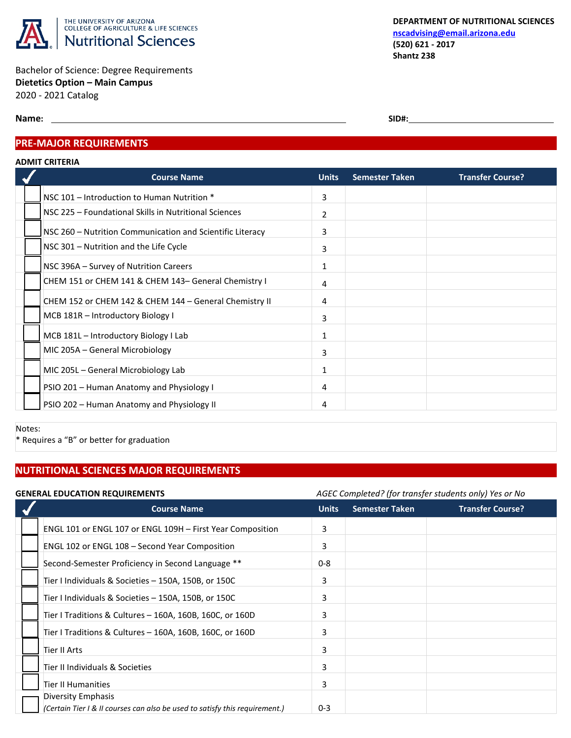

Bachelor of Science: Degree Requirements **Dietetics Option – Main Campus** 2020 - 2021 Catalog

**Name:** SID#:

## **PRE-MAJOR REQUIREMENTS**

#### **ADMIT CRITERIA**

| <b>Course Name</b>                                        | <b>Units</b>   | <b>Semester Taken</b> | <b>Transfer Course?</b> |
|-----------------------------------------------------------|----------------|-----------------------|-------------------------|
| NSC 101 - Introduction to Human Nutrition *               | 3              |                       |                         |
| NSC 225 - Foundational Skills in Nutritional Sciences     | $\overline{2}$ |                       |                         |
| NSC 260 – Nutrition Communication and Scientific Literacy | 3              |                       |                         |
| NSC 301 - Nutrition and the Life Cycle                    | 3              |                       |                         |
| NSC 396A - Survey of Nutrition Careers                    | 1              |                       |                         |
| CHEM 151 or CHEM 141 & CHEM 143- General Chemistry I      | 4              |                       |                         |
| CHEM 152 or CHEM 142 & CHEM 144 - General Chemistry II    | 4              |                       |                         |
| MCB 181R - Introductory Biology I                         | 3              |                       |                         |
| MCB 181L - Introductory Biology I Lab                     | 1              |                       |                         |
| MIC 205A – General Microbiology                           | 3              |                       |                         |
| MIC 205L – General Microbiology Lab                       | 1              |                       |                         |
| PSIO 201 - Human Anatomy and Physiology I                 | 4              |                       |                         |
| PSIO 202 - Human Anatomy and Physiology II                | 4              |                       |                         |

Notes:

\* Requires a "B" or better for graduation

# **NUTRITIONAL SCIENCES MAJOR REQUIREMENTS**

| <b>GENERAL EDUCATION REQUIREMENTS</b> |                                                                             |              | AGEC Completed? (for transfer students only) Yes or No |                         |  |
|---------------------------------------|-----------------------------------------------------------------------------|--------------|--------------------------------------------------------|-------------------------|--|
|                                       | <b>Course Name</b>                                                          | <b>Units</b> | <b>Semester Taken</b>                                  | <b>Transfer Course?</b> |  |
|                                       | ENGL 101 or ENGL 107 or ENGL 109H - First Year Composition                  | 3            |                                                        |                         |  |
|                                       | ENGL 102 or ENGL 108 - Second Year Composition                              | 3            |                                                        |                         |  |
|                                       | Second-Semester Proficiency in Second Language **                           | $0 - 8$      |                                                        |                         |  |
|                                       | Tier I Individuals & Societies - 150A, 150B, or 150C                        | 3            |                                                        |                         |  |
|                                       | Tier I Individuals & Societies - 150A, 150B, or 150C                        | 3            |                                                        |                         |  |
|                                       | Tier I Traditions & Cultures - 160A, 160B, 160C, or 160D                    | 3            |                                                        |                         |  |
|                                       | Tier I Traditions & Cultures - 160A, 160B, 160C, or 160D                    | 3            |                                                        |                         |  |
|                                       | Tier II Arts                                                                | 3            |                                                        |                         |  |
|                                       | Tier II Individuals & Societies                                             | 3            |                                                        |                         |  |
|                                       | Tier II Humanities                                                          | 3            |                                                        |                         |  |
|                                       | Diversity Emphasis                                                          |              |                                                        |                         |  |
|                                       | (Certain Tier I & II courses can also be used to satisfy this requirement.) | $0 - 3$      |                                                        |                         |  |